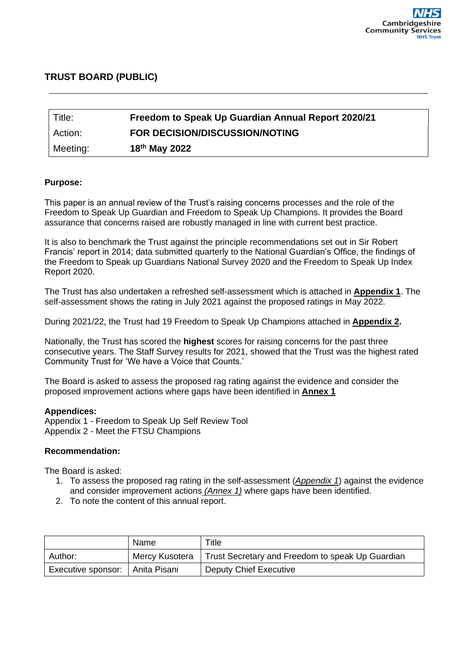# **TRUST BOARD (PUBLIC)**

| <sup>1</sup> Title: | Freedom to Speak Up Guardian Annual Report 2020/21 |
|---------------------|----------------------------------------------------|
| Action:             | FOR DECISION/DISCUSSION/NOTING                     |
| Meeting:            | $18th$ May 2022                                    |

## **Purpose:**

This paper is an annual review of the Trust's raising concerns processes and the role of the Freedom to Speak Up Guardian and Freedom to Speak Up Champions. It provides the Board assurance that concerns raised are robustly managed in line with current best practice.

It is also to benchmark the Trust against the principle recommendations set out in Sir Robert Francis' report in 2014; data submitted quarterly to the National Guardian's Office, the findings of the Freedom to Speak up Guardians National Survey 2020 and the Freedom to Speak Up Index Report 2020.

The Trust has also undertaken a refreshed self-assessment which is attached in **Appendix 1**. The self-assessment shows the rating in July 2021 against the proposed ratings in May 2022.

During 2021/22, the Trust had 19 Freedom to Speak Up Champions attached in **Appendix 2.**

Nationally, the Trust has scored the **highest** scores for raising concerns for the past three consecutive years. The Staff Survey results for 2021, showed that the Trust was the highest rated Community Trust for 'We have a Voice that Counts.'

The Board is asked to assess the proposed rag rating against the evidence and consider the proposed improvement actions where gaps have been identified in **Annex 1**

## **Appendices:**

Appendix 1 - Freedom to Speak Up Self Review Tool Appendix 2 - Meet the FTSU Champions

## **Recommendation:**

The Board is asked:

- 1. To assess the proposed rag rating in the self-assessment (*Appendix 1*) against the evidence and consider improvement actions *(Annex 1)* where gaps have been identified.
- 2. To note the content of this annual report.

|                                   | Name | Title                                                             |
|-----------------------------------|------|-------------------------------------------------------------------|
| Author:                           |      | Mercy Kusotera   Trust Secretary and Freedom to speak Up Guardian |
| Executive sponsor:   Anita Pisani |      | <b>Deputy Chief Executive</b>                                     |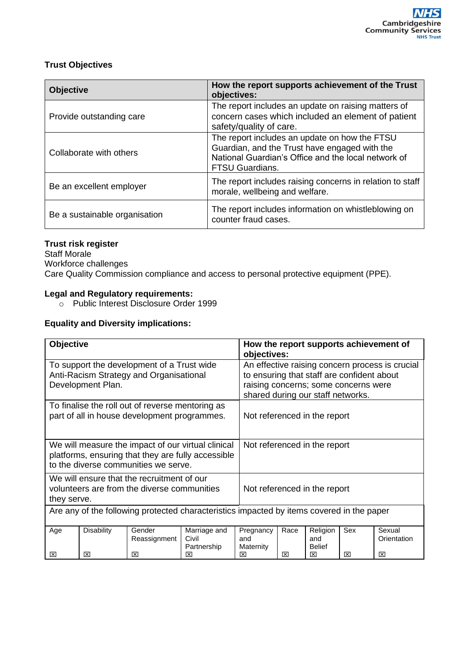## **Trust Objectives**

| <b>Objective</b>              | How the report supports achievement of the Trust<br>objectives:                                                                                                                 |
|-------------------------------|---------------------------------------------------------------------------------------------------------------------------------------------------------------------------------|
| Provide outstanding care      | The report includes an update on raising matters of<br>concern cases which included an element of patient<br>safety/quality of care.                                            |
| Collaborate with others       | The report includes an update on how the FTSU<br>Guardian, and the Trust have engaged with the<br>National Guardian's Office and the local network of<br><b>FTSU Guardians.</b> |
| Be an excellent employer      | The report includes raising concerns in relation to staff<br>morale, wellbeing and welfare.                                                                                     |
| Be a sustainable organisation | The report includes information on whistleblowing on<br>counter fraud cases.                                                                                                    |

## **Trust risk register**

Staff Morale Workforce challenges Care Quality Commission compliance and access to personal protective equipment (PPE).

## **Legal and Regulatory requirements:**

o Public Interest Disclosure Order 1999

## **Equality and Diversity implications:**

| Objective                                                                                                                                        |                        |                              | How the report supports achievement of<br>objectives:                                                                                                                      |                                    |           |                                       |          |                            |
|--------------------------------------------------------------------------------------------------------------------------------------------------|------------------------|------------------------------|----------------------------------------------------------------------------------------------------------------------------------------------------------------------------|------------------------------------|-----------|---------------------------------------|----------|----------------------------|
| To support the development of a Trust wide<br>Anti-Racism Strategy and Organisational<br>Development Plan.                                       |                        |                              | An effective raising concern process is crucial<br>to ensuring that staff are confident about<br>raising concerns; some concerns were<br>shared during our staff networks. |                                    |           |                                       |          |                            |
| To finalise the roll out of reverse mentoring as<br>part of all in house development programmes.                                                 |                        |                              | Not referenced in the report                                                                                                                                               |                                    |           |                                       |          |                            |
| We will measure the impact of our virtual clinical<br>platforms, ensuring that they are fully accessible<br>to the diverse communities we serve. |                        | Not referenced in the report |                                                                                                                                                                            |                                    |           |                                       |          |                            |
| We will ensure that the recruitment of our<br>volunteers are from the diverse communities<br>they serve.                                         |                        |                              | Not referenced in the report                                                                                                                                               |                                    |           |                                       |          |                            |
| Are any of the following protected characteristics impacted by items covered in the paper                                                        |                        |                              |                                                                                                                                                                            |                                    |           |                                       |          |                            |
| Age<br>⊠                                                                                                                                         | <b>Disability</b><br>⊠ | Gender<br>Reassignment<br>⊠  | Marriage and<br>Civil<br>Partnership<br>⊠                                                                                                                                  | Pregnancy<br>and<br>Maternity<br>⊠ | Race<br>⊠ | Religion<br>and<br><b>Belief</b><br>冈 | Sex<br>⊠ | Sexual<br>Orientation<br>図 |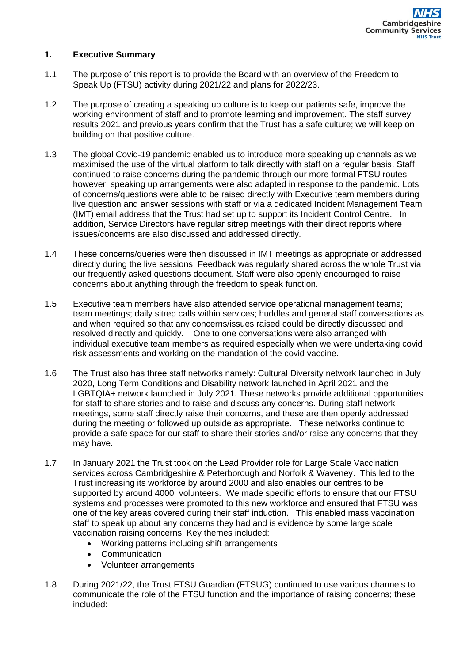## **1. Executive Summary**

- 1.1 The purpose of this report is to provide the Board with an overview of the Freedom to Speak Up (FTSU) activity during 2021/22 and plans for 2022/23.
- 1.2 The purpose of creating a speaking up culture is to keep our patients safe, improve the working environment of staff and to promote learning and improvement. The staff survey results 2021 and previous years confirm that the Trust has a safe culture; we will keep on building on that positive culture.
- 1.3 The global Covid-19 pandemic enabled us to introduce more speaking up channels as we maximised the use of the virtual platform to talk directly with staff on a regular basis. Staff continued to raise concerns during the pandemic through our more formal FTSU routes; however, speaking up arrangements were also adapted in response to the pandemic. Lots of concerns/questions were able to be raised directly with Executive team members during live question and answer sessions with staff or via a dedicated Incident Management Team (IMT) email address that the Trust had set up to support its Incident Control Centre. In addition, Service Directors have regular sitrep meetings with their direct reports where issues/concerns are also discussed and addressed directly.
- 1.4 These concerns/queries were then discussed in IMT meetings as appropriate or addressed directly during the live sessions. Feedback was regularly shared across the whole Trust via our frequently asked questions document. Staff were also openly encouraged to raise concerns about anything through the freedom to speak function.
- 1.5 Executive team members have also attended service operational management teams; team meetings; daily sitrep calls within services; huddles and general staff conversations as and when required so that any concerns/issues raised could be directly discussed and resolved directly and quickly. One to one conversations were also arranged with individual executive team members as required especially when we were undertaking covid risk assessments and working on the mandation of the covid vaccine.
- 1.6 The Trust also has three staff networks namely: Cultural Diversity network launched in July 2020, Long Term Conditions and Disability network launched in April 2021 and the LGBTQIA+ network launched in July 2021. These networks provide additional opportunities for staff to share stories and to raise and discuss any concerns. During staff network meetings, some staff directly raise their concerns, and these are then openly addressed during the meeting or followed up outside as appropriate. These networks continue to provide a safe space for our staff to share their stories and/or raise any concerns that they may have.
- 1.7 In January 2021 the Trust took on the Lead Provider role for Large Scale Vaccination services across Cambridgeshire & Peterborough and Norfolk & Waveney. This led to the Trust increasing its workforce by around 2000 and also enables our centres to be supported by around 4000 volunteers. We made specific efforts to ensure that our FTSU systems and processes were promoted to this new workforce and ensured that FTSU was one of the key areas covered during their staff induction. This enabled mass vaccination staff to speak up about any concerns they had and is evidence by some large scale vaccination raising concerns. Key themes included:
	- Working patterns including shift arrangements
	- Communication
	- Volunteer arrangements
- 1.8 During 2021/22, the Trust FTSU Guardian (FTSUG) continued to use various channels to communicate the role of the FTSU function and the importance of raising concerns; these included: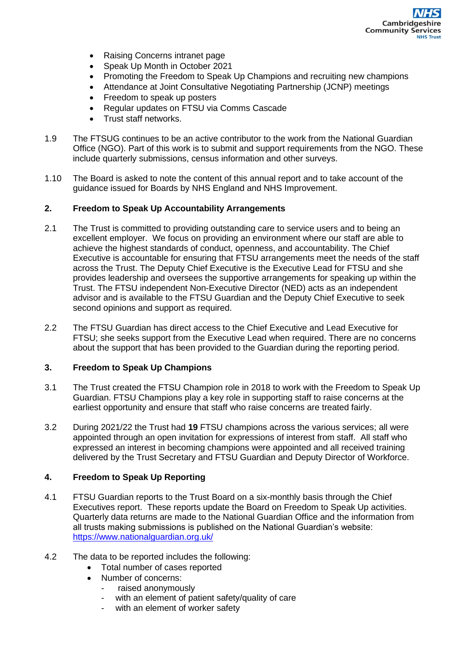- Raising Concerns intranet page
- Speak Up Month in October 2021
- Promoting the Freedom to Speak Up Champions and recruiting new champions
- Attendance at Joint Consultative Negotiating Partnership (JCNP) meetings
- Freedom to speak up posters
- Regular updates on FTSU via Comms Cascade
- Trust staff networks.
- 1.9 The FTSUG continues to be an active contributor to the work from the National Guardian Office (NGO). Part of this work is to submit and support requirements from the NGO. These include quarterly submissions, census information and other surveys.
- 1.10 The Board is asked to note the content of this annual report and to take account of the guidance issued for Boards by NHS England and NHS Improvement.

## **2. Freedom to Speak Up Accountability Arrangements**

- 2.1 The Trust is committed to providing outstanding care to service users and to being an excellent employer. We focus on providing an environment where our staff are able to achieve the highest standards of conduct, openness, and accountability. The Chief Executive is accountable for ensuring that FTSU arrangements meet the needs of the staff across the Trust. The Deputy Chief Executive is the Executive Lead for FTSU and she provides leadership and oversees the supportive arrangements for speaking up within the Trust. The FTSU independent Non-Executive Director (NED) acts as an independent advisor and is available to the FTSU Guardian and the Deputy Chief Executive to seek second opinions and support as required.
- 2.2 The FTSU Guardian has direct access to the Chief Executive and Lead Executive for FTSU; she seeks support from the Executive Lead when required. There are no concerns about the support that has been provided to the Guardian during the reporting period.

#### **3. Freedom to Speak Up Champions**

- 3.1 The Trust created the FTSU Champion role in 2018 to work with the Freedom to Speak Up Guardian. FTSU Champions play a key role in supporting staff to raise concerns at the earliest opportunity and ensure that staff who raise concerns are treated fairly.
- 3.2 During 2021/22 the Trust had **19** FTSU champions across the various services; all were appointed through an open invitation for expressions of interest from staff. All staff who expressed an interest in becoming champions were appointed and all received training delivered by the Trust Secretary and FTSU Guardian and Deputy Director of Workforce.

## **4. Freedom to Speak Up Reporting**

- 4.1 FTSU Guardian reports to the Trust Board on a six-monthly basis through the Chief Executives report. These reports update the Board on Freedom to Speak Up activities. Quarterly data returns are made to the National Guardian Office and the information from all trusts making submissions is published on the National Guardian's website: <https://www.nationalguardian.org.uk/>
- 4.2 The data to be reported includes the following:
	- Total number of cases reported
	- Number of concerns:
		- raised anonymously
		- with an element of patient safety/quality of care
		- with an element of worker safety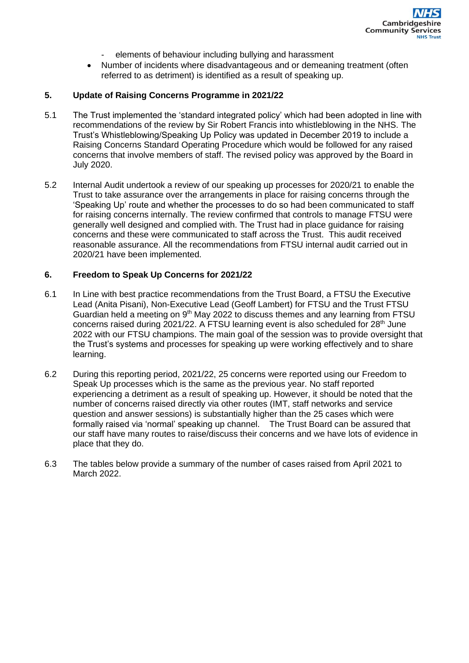- elements of behaviour including bullying and harassment
- Number of incidents where disadvantageous and or demeaning treatment (often referred to as detriment) is identified as a result of speaking up.

## **5. Update of Raising Concerns Programme in 2021/22**

- 5.1 The Trust implemented the 'standard integrated policy' which had been adopted in line with recommendations of the review by Sir Robert Francis into whistleblowing in the NHS. The Trust's Whistleblowing/Speaking Up Policy was updated in December 2019 to include a Raising Concerns Standard Operating Procedure which would be followed for any raised concerns that involve members of staff. The revised policy was approved by the Board in July 2020.
- 5.2 Internal Audit undertook a review of our speaking up processes for 2020/21 to enable the Trust to take assurance over the arrangements in place for raising concerns through the 'Speaking Up' route and whether the processes to do so had been communicated to staff for raising concerns internally. The review confirmed that controls to manage FTSU were generally well designed and complied with. The Trust had in place guidance for raising concerns and these were communicated to staff across the Trust. This audit received reasonable assurance. All the recommendations from FTSU internal audit carried out in 2020/21 have been implemented.

## **6. Freedom to Speak Up Concerns for 2021/22**

- 6.1 In Line with best practice recommendations from the Trust Board, a FTSU the Executive Lead (Anita Pisani), Non-Executive Lead (Geoff Lambert) for FTSU and the Trust FTSU Guardian held a meeting on 9<sup>th</sup> May 2022 to discuss themes and any learning from FTSU concerns raised during  $2021/22$ . A FTSU learning event is also scheduled for  $28<sup>th</sup>$  June 2022 with our FTSU champions. The main goal of the session was to provide oversight that the Trust's systems and processes for speaking up were working effectively and to share learning.
- 6.2 During this reporting period, 2021/22, 25 concerns were reported using our Freedom to Speak Up processes which is the same as the previous year. No staff reported experiencing a detriment as a result of speaking up. However, it should be noted that the number of concerns raised directly via other routes (IMT, staff networks and service question and answer sessions) is substantially higher than the 25 cases which were formally raised via 'normal' speaking up channel. The Trust Board can be assured that our staff have many routes to raise/discuss their concerns and we have lots of evidence in place that they do.
- 6.3 The tables below provide a summary of the number of cases raised from April 2021 to March 2022.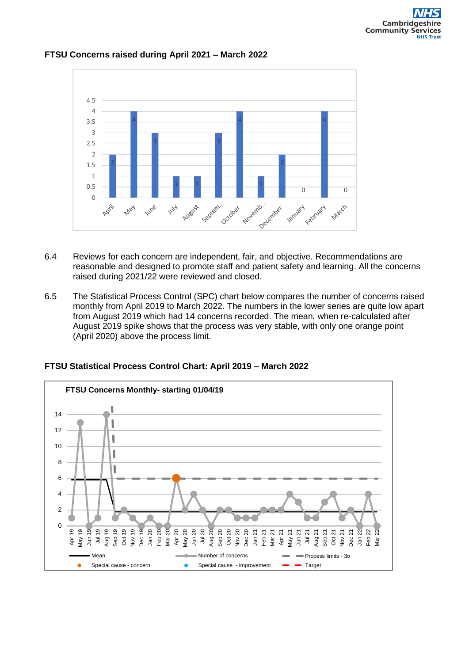

## **FTSU Concerns raised during April 2021 – March 2022**

- 6.4 Reviews for each concern are independent, fair, and objective. Recommendations are reasonable and designed to promote staff and patient safety and learning. All the concerns raised during 2021/22 were reviewed and closed.
- 6.5 The Statistical Process Control (SPC) chart below compares the number of concerns raised monthly from April 2019 to March 2022. The numbers in the lower series are quite low apart from August 2019 which had 14 concerns recorded. The mean, when re-calculated after August 2019 spike shows that the process was very stable, with only one orange point (April 2020) above the process limit.



**FTSU Statistical Process Control Chart: April 2019 – March 2022**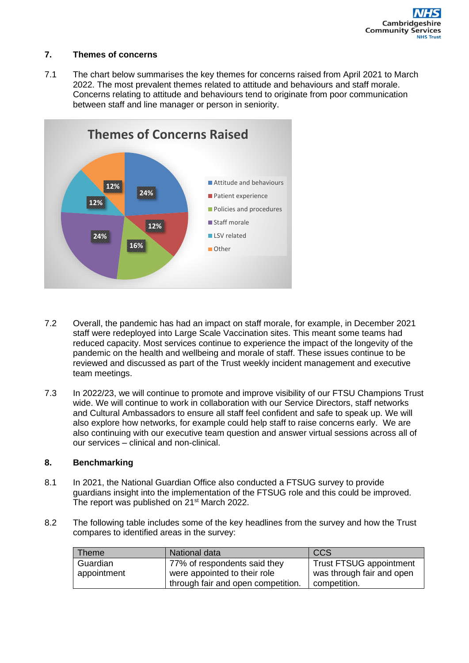## **7. Themes of concerns**

7.1 The chart below summarises the key themes for concerns raised from April 2021 to March 2022. The most prevalent themes related to attitude and behaviours and staff morale. Concerns relating to attitude and behaviours tend to originate from poor communication between staff and line manager or person in seniority.



- 7.2 Overall, the pandemic has had an impact on staff morale, for example, in December 2021 staff were redeployed into Large Scale Vaccination sites. This meant some teams had reduced capacity. Most services continue to experience the impact of the longevity of the pandemic on the health and wellbeing and morale of staff. These issues continue to be reviewed and discussed as part of the Trust weekly incident management and executive team meetings.
- 7.3 In 2022/23, we will continue to promote and improve visibility of our FTSU Champions Trust wide. We will continue to work in collaboration with our Service Directors, staff networks and Cultural Ambassadors to ensure all staff feel confident and safe to speak up. We will also explore how networks, for example could help staff to raise concerns early. We are also continuing with our executive team question and answer virtual sessions across all of our services – clinical and non-clinical.

## **8. Benchmarking**

- 8.1 In 2021, the National Guardian Office also conducted a FTSUG survey to provide guardians insight into the implementation of the FTSUG role and this could be improved. The report was published on 21<sup>st</sup> March 2022.
- 8.2 The following table includes some of the key headlines from the survey and how the Trust compares to identified areas in the survey:

| Theme       | National data                      | <b>CCS</b>                     |
|-------------|------------------------------------|--------------------------------|
| Guardian    | 77% of respondents said they       | <b>Trust FTSUG appointment</b> |
| appointment | were appointed to their role       | was through fair and open      |
|             | through fair and open competition. | competition.                   |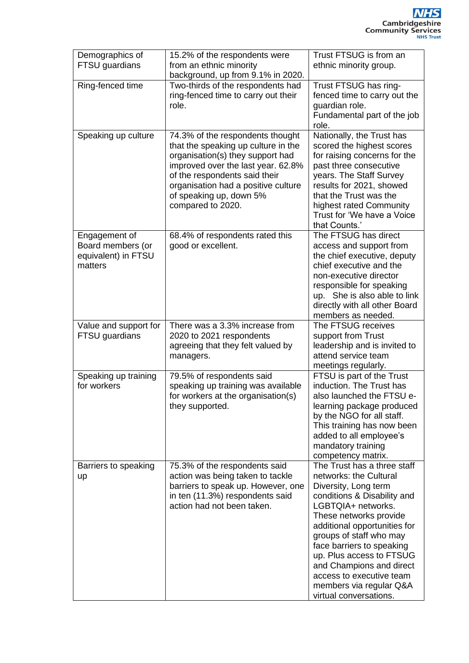| Demographics of<br>FTSU guardians                                    | 15.2% of the respondents were<br>from an ethnic minority<br>background, up from 9.1% in 2020.                                                                                                                                                                             | Trust FTSUG is from an<br>ethnic minority group.                                                                                                                                                                                                                                                                                                                                              |  |
|----------------------------------------------------------------------|---------------------------------------------------------------------------------------------------------------------------------------------------------------------------------------------------------------------------------------------------------------------------|-----------------------------------------------------------------------------------------------------------------------------------------------------------------------------------------------------------------------------------------------------------------------------------------------------------------------------------------------------------------------------------------------|--|
| Ring-fenced time                                                     | Two-thirds of the respondents had<br>ring-fenced time to carry out their<br>role.                                                                                                                                                                                         | Trust FTSUG has ring-<br>fenced time to carry out the<br>guardian role.<br>Fundamental part of the job<br>role.                                                                                                                                                                                                                                                                               |  |
| Speaking up culture                                                  | 74.3% of the respondents thought<br>that the speaking up culture in the<br>organisation(s) they support had<br>improved over the last year. 62.8%<br>of the respondents said their<br>organisation had a positive culture<br>of speaking up, down 5%<br>compared to 2020. | Nationally, the Trust has<br>scored the highest scores<br>for raising concerns for the<br>past three consecutive<br>years. The Staff Survey<br>results for 2021, showed<br>that the Trust was the<br>highest rated Community<br>Trust for 'We have a Voice<br>that Counts.'                                                                                                                   |  |
| Engagement of<br>Board members (or<br>equivalent) in FTSU<br>matters | 68.4% of respondents rated this<br>good or excellent.                                                                                                                                                                                                                     | The FTSUG has direct<br>access and support from<br>the chief executive, deputy<br>chief executive and the<br>non-executive director<br>responsible for speaking<br>up. She is also able to link<br>directly with all other Board<br>members as needed.                                                                                                                                        |  |
| Value and support for<br>FTSU guardians                              | There was a 3.3% increase from<br>2020 to 2021 respondents<br>agreeing that they felt valued by<br>managers.                                                                                                                                                              | The FTSUG receives<br>support from Trust<br>leadership and is invited to<br>attend service team<br>meetings regularly.                                                                                                                                                                                                                                                                        |  |
| Speaking up training<br>for workers                                  | 79.5% of respondents said<br>speaking up training was available<br>for workers at the organisation(s)<br>they supported.                                                                                                                                                  | FTSU is part of the Trust<br>induction. The Trust has<br>also launched the FTSU e-<br>learning package produced<br>by the NGO for all staff.<br>This training has now been<br>added to all employee's<br>mandatory training<br>competency matrix.                                                                                                                                             |  |
| Barriers to speaking<br>up                                           | 75.3% of the respondents said<br>action was being taken to tackle<br>barriers to speak up. However, one<br>in ten (11.3%) respondents said<br>action had not been taken.                                                                                                  | The Trust has a three staff<br>networks: the Cultural<br>Diversity, Long term<br>conditions & Disability and<br>LGBTQIA+ networks.<br>These networks provide<br>additional opportunities for<br>groups of staff who may<br>face barriers to speaking<br>up. Plus access to FTSUG<br>and Champions and direct<br>access to executive team<br>members via regular Q&A<br>virtual conversations. |  |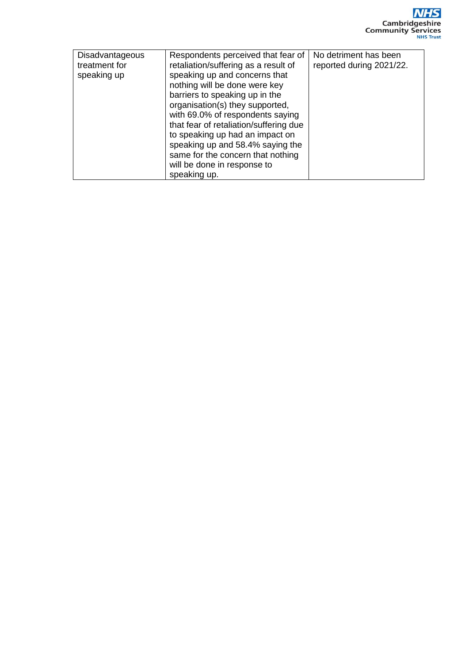| <b>Disadvantageous</b><br>treatment for<br>speaking up | Respondents perceived that fear of<br>retaliation/suffering as a result of<br>speaking up and concerns that<br>nothing will be done were key<br>barriers to speaking up in the<br>organisation(s) they supported,<br>with 69.0% of respondents saying<br>that fear of retaliation/suffering due<br>to speaking up had an impact on<br>speaking up and 58.4% saying the<br>same for the concern that nothing<br>will be done in response to<br>speaking up. | No detriment has been<br>reported during 2021/22. |
|--------------------------------------------------------|------------------------------------------------------------------------------------------------------------------------------------------------------------------------------------------------------------------------------------------------------------------------------------------------------------------------------------------------------------------------------------------------------------------------------------------------------------|---------------------------------------------------|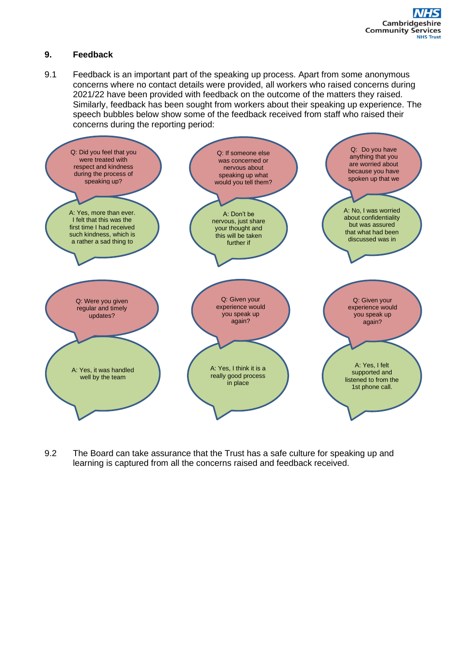## **9. Feedback**

9.1 Feedback is an important part of the speaking up process. Apart from some anonymous concerns where no contact details were provided, all workers who raised concerns during 2021/22 have been provided with feedback on the outcome of the matters they raised. Similarly, feedback has been sought from workers about their speaking up experience. The speech bubbles below show some of the feedback received from staff who raised their concerns during the reporting period:



9.2 The Board can take assurance that the Trust has a safe culture for speaking up and learning is captured from all the concerns raised and feedback received.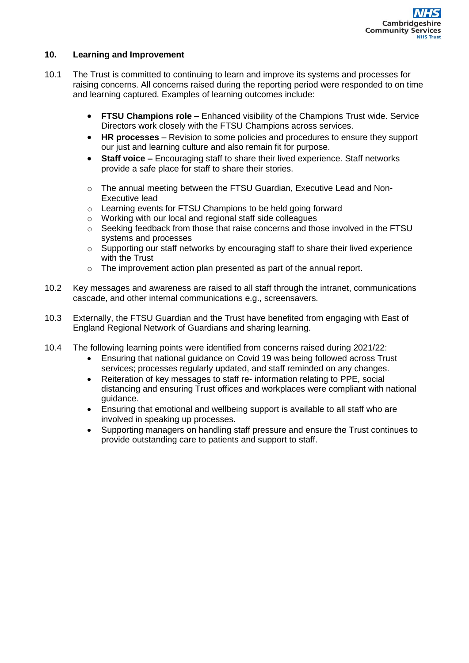## **10. Learning and Improvement**

- 10.1 The Trust is committed to continuing to learn and improve its systems and processes for raising concerns. All concerns raised during the reporting period were responded to on time and learning captured. Examples of learning outcomes include:
	- **FTSU Champions role –** Enhanced visibility of the Champions Trust wide. Service Directors work closely with the FTSU Champions across services.
	- **HR processes** Revision to some policies and procedures to ensure they support our just and learning culture and also remain fit for purpose.
	- **Staff voice –** Encouraging staff to share their lived experience. Staff networks provide a safe place for staff to share their stories.
	- $\circ$  The annual meeting between the FTSU Guardian, Executive Lead and Non-Executive lead
	- o Learning events for FTSU Champions to be held going forward
	- o Working with our local and regional staff side colleagues
	- $\circ$  Seeking feedback from those that raise concerns and those involved in the FTSU systems and processes
	- $\circ$  Supporting our staff networks by encouraging staff to share their lived experience with the Trust
	- o The improvement action plan presented as part of the annual report.
- 10.2 Key messages and awareness are raised to all staff through the intranet, communications cascade, and other internal communications e.g., screensavers.
- 10.3 Externally, the FTSU Guardian and the Trust have benefited from engaging with East of England Regional Network of Guardians and sharing learning.
- 10.4 The following learning points were identified from concerns raised during 2021/22:
	- Ensuring that national guidance on Covid 19 was being followed across Trust services; processes regularly updated, and staff reminded on any changes.
	- Reiteration of key messages to staff re- information relating to PPE, social distancing and ensuring Trust offices and workplaces were compliant with national guidance.
	- Ensuring that emotional and wellbeing support is available to all staff who are involved in speaking up processes.
	- Supporting managers on handling staff pressure and ensure the Trust continues to provide outstanding care to patients and support to staff.